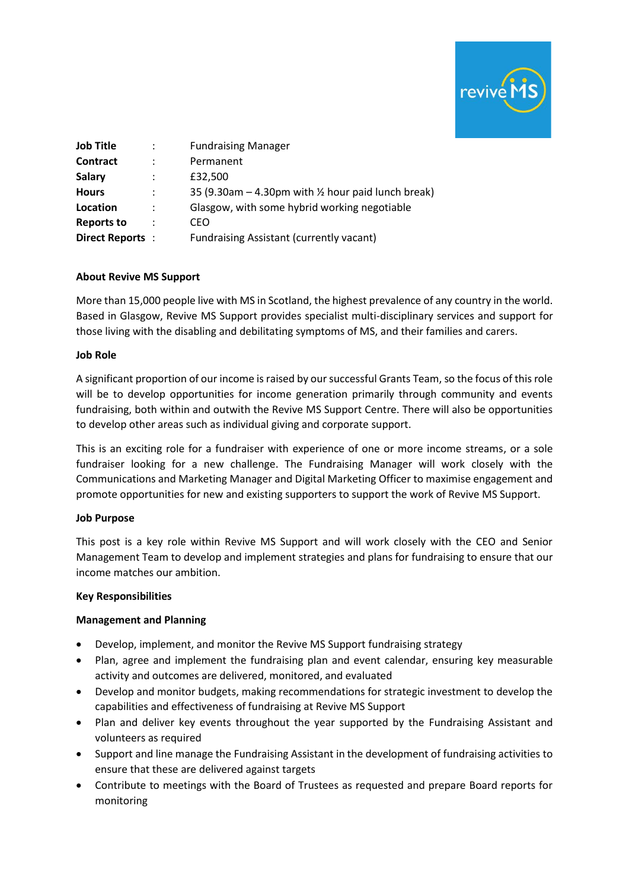

| <b>Job Title</b>  |   | <b>Fundraising Manager</b>                                      |
|-------------------|---|-----------------------------------------------------------------|
| Contract          |   | Permanent                                                       |
| <b>Salary</b>     |   | £32,500                                                         |
| <b>Hours</b>      | : | 35 (9.30am $-$ 4.30pm with $\frac{1}{2}$ hour paid lunch break) |
| Location          | : | Glasgow, with some hybrid working negotiable                    |
| <b>Reports to</b> | ÷ | CEO                                                             |
| Direct Reports:   |   | Fundraising Assistant (currently vacant)                        |

#### **About Revive MS Support**

More than 15,000 people live with MS in Scotland, the highest prevalence of any country in the world. Based in Glasgow, Revive MS Support provides specialist multi-disciplinary services and support for those living with the disabling and debilitating symptoms of MS, and their families and carers.

#### **Job Role**

A significant proportion of our income is raised by our successful Grants Team, so the focus of this role will be to develop opportunities for income generation primarily through community and events fundraising, both within and outwith the Revive MS Support Centre. There will also be opportunities to develop other areas such as individual giving and corporate support.

This is an exciting role for a fundraiser with experience of one or more income streams, or a sole fundraiser looking for a new challenge. The Fundraising Manager will work closely with the Communications and Marketing Manager and Digital Marketing Officer to maximise engagement and promote opportunities for new and existing supporters to support the work of Revive MS Support.

#### **Job Purpose**

This post is a key role within Revive MS Support and will work closely with the CEO and Senior Management Team to develop and implement strategies and plans for fundraising to ensure that our income matches our ambition.

#### **Key Responsibilities**

# **Management and Planning**

- Develop, implement, and monitor the Revive MS Support fundraising strategy
- Plan, agree and implement the fundraising plan and event calendar, ensuring key measurable activity and outcomes are delivered, monitored, and evaluated
- Develop and monitor budgets, making recommendations for strategic investment to develop the capabilities and effectiveness of fundraising at Revive MS Support
- Plan and deliver key events throughout the year supported by the Fundraising Assistant and volunteers as required
- Support and line manage the Fundraising Assistant in the development of fundraising activities to ensure that these are delivered against targets
- Contribute to meetings with the Board of Trustees as requested and prepare Board reports for monitoring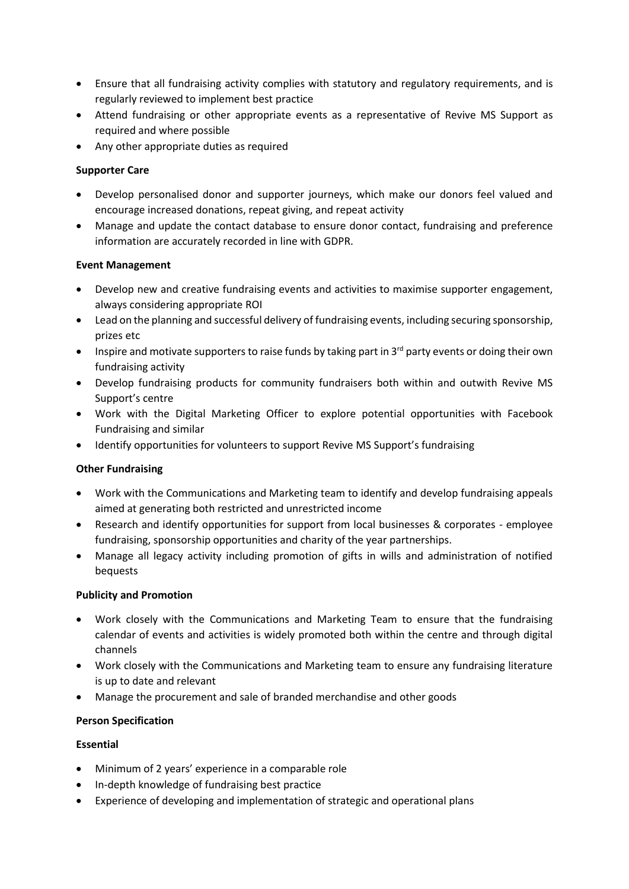- Ensure that all fundraising activity complies with statutory and regulatory requirements, and is regularly reviewed to implement best practice
- Attend fundraising or other appropriate events as a representative of Revive MS Support as required and where possible
- Any other appropriate duties as required

### **Supporter Care**

- Develop personalised donor and supporter journeys, which make our donors feel valued and encourage increased donations, repeat giving, and repeat activity
- Manage and update the contact database to ensure donor contact, fundraising and preference information are accurately recorded in line with GDPR.

#### **Event Management**

- Develop new and creative fundraising events and activities to maximise supporter engagement, always considering appropriate ROI
- Lead on the planning and successful delivery of fundraising events, including securing sponsorship, prizes etc
- Inspire and motivate supporters to raise funds by taking part in  $3^{rd}$  party events or doing their own fundraising activity
- Develop fundraising products for community fundraisers both within and outwith Revive MS Support's centre
- Work with the Digital Marketing Officer to explore potential opportunities with Facebook Fundraising and similar
- Identify opportunities for volunteers to support Revive MS Support's fundraising

#### **Other Fundraising**

- Work with the Communications and Marketing team to identify and develop fundraising appeals aimed at generating both restricted and unrestricted income
- Research and identify opportunities for support from local businesses & corporates employee fundraising, sponsorship opportunities and charity of the year partnerships.
- Manage all legacy activity including promotion of gifts in wills and administration of notified bequests

#### **Publicity and Promotion**

- Work closely with the Communications and Marketing Team to ensure that the fundraising calendar of events and activities is widely promoted both within the centre and through digital channels
- Work closely with the Communications and Marketing team to ensure any fundraising literature is up to date and relevant
- Manage the procurement and sale of branded merchandise and other goods

#### **Person Specification**

### **Essential**

- Minimum of 2 years' experience in a comparable role
- In-depth knowledge of fundraising best practice
- Experience of developing and implementation of strategic and operational plans